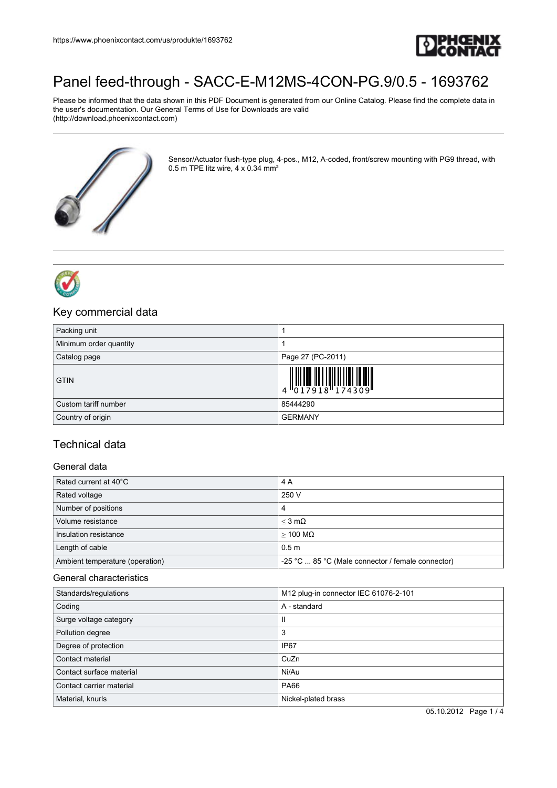

# [Panel feed-through - SACC-E-M12MS-4CON-PG.9/0.5 - 1693762](https://www.phoenixcontact.com/us/produkte/1693762)

Please be informed that the data shown in this PDF Document is generated from our Online Catalog. Please find the complete data in the user's documentation. Our General Terms of Use for Downloads are valid (http://download.phoenixcontact.com)



Sensor/Actuator flush-type plug, 4-pos., M12, A-coded, front/screw mounting with PG9 thread, with 0.5 m TPE litz wire, 4 x 0.34 mm²



## Key commercial data

| Packing unit           |                                                                                                                                                                                                                                                                                                                                                   |
|------------------------|---------------------------------------------------------------------------------------------------------------------------------------------------------------------------------------------------------------------------------------------------------------------------------------------------------------------------------------------------|
| Minimum order quantity |                                                                                                                                                                                                                                                                                                                                                   |
| Catalog page           | Page 27 (PC-2011)                                                                                                                                                                                                                                                                                                                                 |
| <b>GTIN</b>            | $\left\  \begin{matrix} 1 & 0 & 0 & 0 \\ 0 & 1 & 0 & 0 & 0 \\ 0 & 1 & 0 & 0 & 0 \\ 0 & 0 & 1 & 0 & 0 \end{matrix} \right\  \left\  \begin{matrix} 1 & 0 & 0 & 0 \\ 0 & 1 & 0 & 0 & 0 \\ 0 & 1 & 0 & 0 & 0 \\ 0 & 0 & 0 & 0 & 0 \\ 0 & 0 & 0 & 0 & 0 \\ 0 & 0 & 0 & 0 & 0 \\ 0 & 0 & 0 & 0 & 0 \\ 0 & 0 & 0 & 0 & 0 \\ 0 & 0 & 0 & 0 & 0 \\ 0 & 0$ |
| Custom tariff number   | 85444290                                                                                                                                                                                                                                                                                                                                          |
| Country of origin      | <b>GERMANY</b>                                                                                                                                                                                                                                                                                                                                    |

# Technical data

#### General data

| Rated current at 40°C           | 4 A                                               |
|---------------------------------|---------------------------------------------------|
| Rated voltage                   | 250 V                                             |
| Number of positions             | 4                                                 |
| Volume resistance               | $<$ 3 m $\Omega$                                  |
| Insulation resistance           | $>$ 100 MQ                                        |
| Length of cable                 | 0.5 <sub>m</sub>                                  |
| Ambient temperature (operation) | -25 °C  85 °C (Male connector / female connector) |

#### General characteristics

| Standards/regulations    | M12 plug-in connector IEC 61076-2-101 |
|--------------------------|---------------------------------------|
| Coding                   | A - standard                          |
| Surge voltage category   | Ш                                     |
| Pollution degree         | 3                                     |
| Degree of protection     | IP67                                  |
| Contact material         | CuZn                                  |
| Contact surface material | Ni/Au                                 |
| Contact carrier material | <b>PA66</b>                           |
| Material, knurls         | Nickel-plated brass                   |

05.10.2012 Page 1 / 4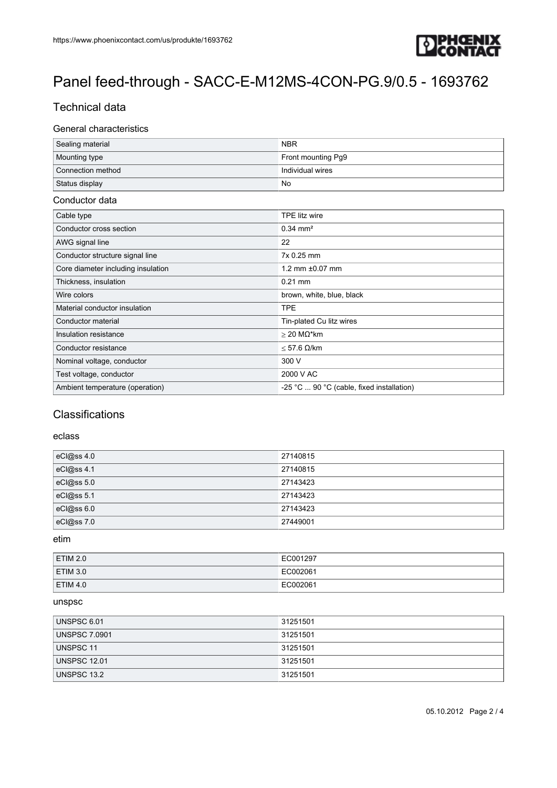

# [Panel feed-through - SACC-E-M12MS-4CON-PG.9/0.5 - 1693762](https://www.phoenixcontact.com/us/produkte/1693762)

# Technical data

#### General characteristics

| Sealing material  | <b>NBR</b>         |
|-------------------|--------------------|
| Mounting type     | Front mounting Pg9 |
| Connection method | Individual wires   |
| Status display    | No                 |

#### Conductor data

| Cable type                         | TPE litz wire                             |
|------------------------------------|-------------------------------------------|
| Conductor cross section            | $0.34 \text{ mm}^2$                       |
| AWG signal line                    | 22                                        |
| Conductor structure signal line    | 7x 0.25 mm                                |
| Core diameter including insulation | 1.2 mm ±0.07 mm                           |
| Thickness, insulation              | $0.21$ mm                                 |
| Wire colors                        | brown, white, blue, black                 |
| Material conductor insulation      | <b>TPE</b>                                |
| Conductor material                 | Tin-plated Cu litz wires                  |
| Insulation resistance              | $>$ 20 M $\Omega^*$ km                    |
| Conductor resistance               | $<$ 57.6 $\Omega$ /km                     |
| Nominal voltage, conductor         | 300 V                                     |
| Test voltage, conductor            | 2000 V AC                                 |
| Ambient temperature (operation)    | -25 °C  90 °C (cable, fixed installation) |

### **Classifications**

#### eclass

| eCl@ss 4.0 | 27140815 |
|------------|----------|
| eCl@ss 4.1 | 27140815 |
| eCl@ss 5.0 | 27143423 |
| eCl@ss 5.1 | 27143423 |
| eCl@ss 6.0 | 27143423 |
| eCl@ss 7.0 | 27449001 |

#### etim

| ETIM 2.0        | EC001297 |
|-----------------|----------|
| <b>ETIM 3.0</b> | EC002061 |
| $E$ TIM 4.0     | EC002061 |

#### unspsc

| UNSPSC 6.01          | 31251501 |
|----------------------|----------|
| <b>UNSPSC 7.0901</b> | 31251501 |
| UNSPSC 11            | 31251501 |
| <b>UNSPSC 12.01</b>  | 31251501 |
| UNSPSC 13.2          | 31251501 |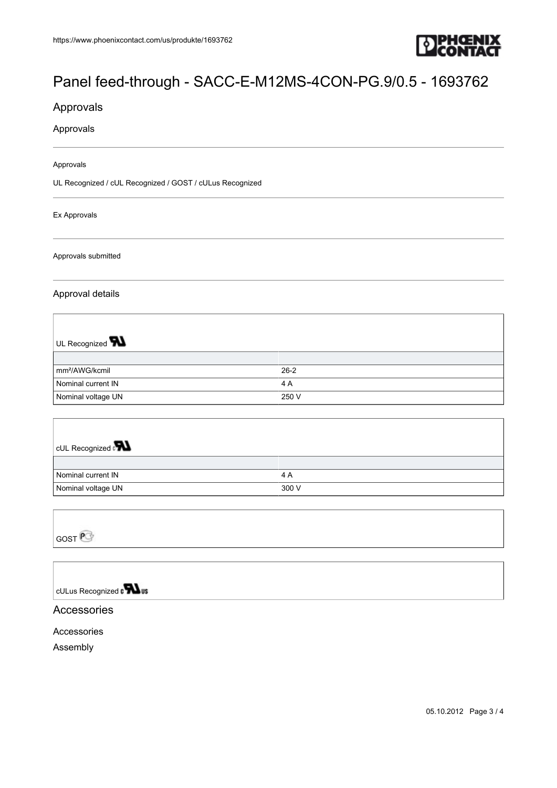

# [Panel feed-through - SACC-E-M12MS-4CON-PG.9/0.5 - 1693762](https://www.phoenixcontact.com/us/produkte/1693762)

## Approvals

#### Approvals

Approvals

UL Recognized / cUL Recognized / GOST / cULus Recognized

Ex Approvals

Approvals submitted

#### Approval details

| UL Recognized $\blacksquare$ |        |
|------------------------------|--------|
|                              |        |
| mm <sup>2</sup> /AWG/kcmil   | $26-2$ |
| Nominal current IN           | 4 A    |
| Nominal voltage UN           | 250 V  |

| <b>CUL Recognized</b> |       |
|-----------------------|-------|
|                       |       |
| Nominal current IN    | 4 A   |
| Nominal voltage UN    | 300 V |

| $G$ OST $\mathsf{P}^{-1}$ |  |
|---------------------------|--|

# cULus Recognized to **What**

#### Accessories

#### Accessories

Assembly